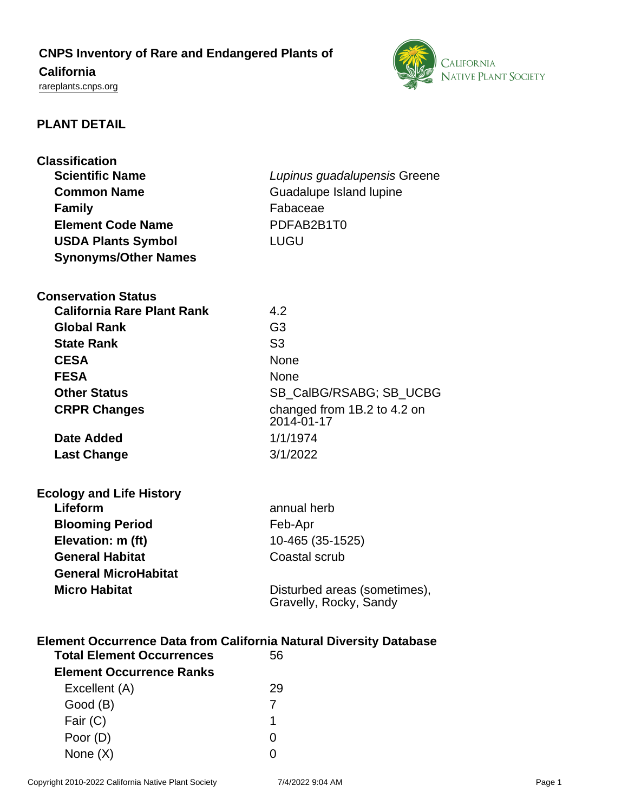# **CNPS Inventory of Rare and Endangered Plants of**

## **California**

<rareplants.cnps.org>



### **PLANT DETAIL**

| <b>Classification</b>                                                                                     |                                                        |  |
|-----------------------------------------------------------------------------------------------------------|--------------------------------------------------------|--|
| <b>Scientific Name</b>                                                                                    | Lupinus guadalupensis Greene                           |  |
| <b>Common Name</b>                                                                                        | Guadalupe Island lupine                                |  |
| <b>Family</b>                                                                                             | Fabaceae                                               |  |
| <b>Element Code Name</b>                                                                                  | PDFAB2B1T0                                             |  |
| <b>USDA Plants Symbol</b>                                                                                 | LUGU                                                   |  |
| <b>Synonyms/Other Names</b>                                                                               |                                                        |  |
| <b>Conservation Status</b>                                                                                |                                                        |  |
| <b>California Rare Plant Rank</b>                                                                         | 4.2                                                    |  |
| <b>Global Rank</b>                                                                                        | G <sub>3</sub>                                         |  |
| <b>State Rank</b>                                                                                         | S <sub>3</sub>                                         |  |
| <b>CESA</b>                                                                                               | <b>None</b>                                            |  |
| <b>FESA</b>                                                                                               | <b>None</b>                                            |  |
| <b>Other Status</b>                                                                                       | SB_CalBG/RSABG; SB_UCBG                                |  |
| <b>CRPR Changes</b>                                                                                       | changed from 1B.2 to 4.2 on<br>2014-01-17              |  |
| <b>Date Added</b>                                                                                         | 1/1/1974                                               |  |
| <b>Last Change</b>                                                                                        | 3/1/2022                                               |  |
| <b>Ecology and Life History</b>                                                                           |                                                        |  |
| Lifeform                                                                                                  | annual herb                                            |  |
| <b>Blooming Period</b>                                                                                    | Feb-Apr                                                |  |
| Elevation: m (ft)                                                                                         | 10-465 (35-1525)                                       |  |
| <b>General Habitat</b>                                                                                    | Coastal scrub                                          |  |
| <b>General MicroHabitat</b>                                                                               |                                                        |  |
| <b>Micro Habitat</b>                                                                                      | Disturbed areas (sometimes),<br>Gravelly, Rocky, Sandy |  |
| Element Occurrence Data from California Natural Diversity Database<br><b>Total Element Occurrences 56</b> |                                                        |  |

| <b>Total Element Occurrences</b> | 56 |
|----------------------------------|----|
| <b>Element Occurrence Ranks</b>  |    |
| Excellent (A)                    | 29 |
| Good (B)                         |    |
| Fair $(C)$                       | 1  |
| Poor (D)                         | 0  |
| None $(X)$                       |    |
|                                  |    |